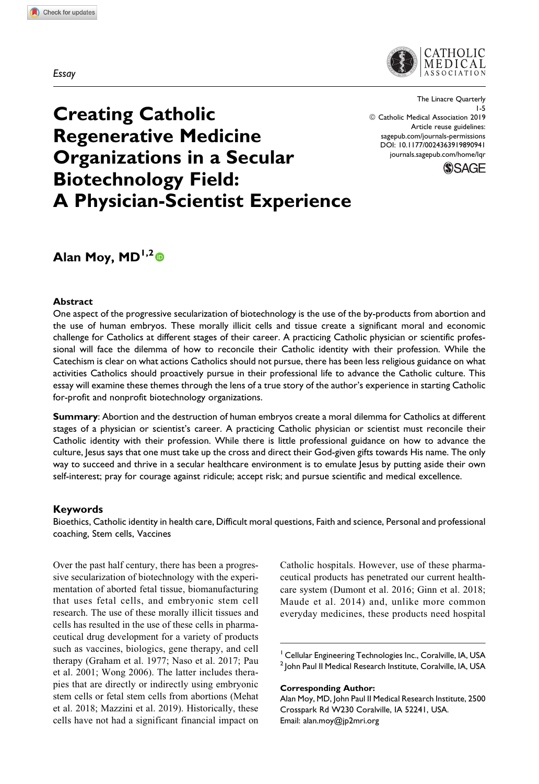Essay



The Linacre Quarterly 1-5 © Catholic Medical Association 2019 Article reuse guidelines: [sagepub.com/journals-permissions](https://sagepub.com/journals-permissions) [DOI: 10.1177/0024363919890941](https://doi.org/10.1177/0024363919890941) [journals.sagepub.com/home/lqr](http://journals.sagepub.com/home/lqr)



# Creating Catholic Regenerative Medicine Organizations in a Secular Biotechnology Field: A Physician-Scientist Experience

## Alan Moy,  $MD^{1,2}$

#### **Abstract**

One aspect of the progressive secularization of biotechnology is the use of the by-products from abortion and the use of human embryos. These morally illicit cells and tissue create a significant moral and economic challenge for Catholics at different stages of their career. A practicing Catholic physician or scientific professional will face the dilemma of how to reconcile their Catholic identity with their profession. While the Catechism is clear on what actions Catholics should not pursue, there has been less religious guidance on what activities Catholics should proactively pursue in their professional life to advance the Catholic culture. This essay will examine these themes through the lens of a true story of the author's experience in starting Catholic for-profit and nonprofit biotechnology organizations.

Summary: Abortion and the destruction of human embryos create a moral dilemma for Catholics at different stages of a physician or scientist's career. A practicing Catholic physician or scientist must reconcile their Catholic identity with their profession. While there is little professional guidance on how to advance the culture, Jesus says that one must take up the cross and direct their God-given gifts towards His name. The only way to succeed and thrive in a secular healthcare environment is to emulate Jesus by putting aside their own self-interest; pray for courage against ridicule; accept risk; and pursue scientific and medical excellence.

#### Keywords

Bioethics, Catholic identity in health care, Difficult moral questions, Faith and science, Personal and professional coaching, Stem cells, Vaccines

Over the past half century, there has been a progressive secularization of biotechnology with the experimentation of aborted fetal tissue, biomanufacturing that uses fetal cells, and embryonic stem cell research. The use of these morally illicit tissues and cells has resulted in the use of these cells in pharmaceutical drug development for a variety of products such as vaccines, biologics, gene therapy, and cell therapy (Graham et al. 1977; Naso et al. 2017; Pau et al. 2001; Wong 2006). The latter includes therapies that are directly or indirectly using embryonic stem cells or fetal stem cells from abortions (Mehat et al. 2018; Mazzini et al. 2019). Historically, these cells have not had a significant financial impact on Catholic hospitals. However, use of these pharmaceutical products has penetrated our current healthcare system (Dumont et al. 2016; Ginn et al. 2018; Maude et al. 2014) and, unlike more common everyday medicines, these products need hospital

<sup>1</sup> Cellular Engineering Technologies Inc., Coralville, IA, USA <sup>2</sup> John Paul II Medical Research Institute, Coralville, IA, USA

Corresponding Author:

Alan Moy, MD, John Paul II Medical Research Institute, 2500 Crosspark Rd W230 Coralville, IA 52241, USA. Email: [alan.moy@jp2mri.org](mailto:alan.moy@jp2mri.org)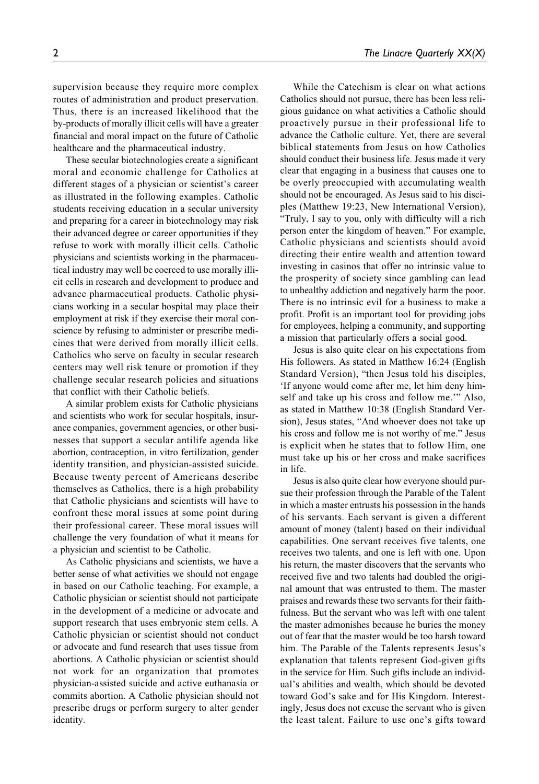supervision because they require more complex routes of administration and product preservation. Thus, there is an increased likelihood that the by-products of morally illicit cells will have a greater financial and moral impact on the future of Catholic healthcare and the pharmaceutical industry.

These secular biotechnologies create a significant moral and economic challenge for Catholics at different stages of a physician or scientist's career as illustrated in the following examples. Catholic students receiving education in a secular university and preparing for a career in biotechnology may risk their advanced degree or career opportunities if they refuse to work with morally illicit cells. Catholic physicians and scientists working in the pharmaceutical industry may well be coerced to use morally illicit cells in research and development to produce and advance pharmaceutical products. Catholic physicians working in a secular hospital may place their employment at risk if they exercise their moral conscience by refusing to administer or prescribe medicines that were derived from morally illicit cells. Catholics who serve on faculty in secular research centers may well risk tenure or promotion if they challenge secular research policies and situations that conflict with their Catholic beliefs.

A similar problem exists for Catholic physicians and scientists who work for secular hospitals, insurance companies, government agencies, or other businesses that support a secular antilife agenda like abortion, contraception, in vitro fertilization, gender identity transition, and physician-assisted suicide. Because twenty percent of Americans describe themselves as Catholics, there is a high probability that Catholic physicians and scientists will have to confront these moral issues at some point during their professional career. These moral issues will challenge the very foundation of what it means for a physician and scientist to be Catholic.

As Catholic physicians and scientists, we have a better sense of what activities we should not engage in based on our Catholic teaching. For example, a Catholic physician or scientist should not participate in the development of a medicine or advocate and support research that uses embryonic stem cells. A Catholic physician or scientist should not conduct or advocate and fund research that uses tissue from abortions. A Catholic physician or scientist should not work for an organization that promotes physician-assisted suicide and active euthanasia or commits abortion. A Catholic physician should not prescribe drugs or perform surgery to alter gender identity.

While the Catechism is clear on what actions Catholics should not pursue, there has been less religious guidance on what activities a Catholic should proactively pursue in their professional life to advance the Catholic culture. Yet, there are several biblical statements from Jesus on how Catholics should conduct their business life. Jesus made it very clear that engaging in a business that causes one to be overly preoccupied with accumulating wealth should not be encouraged. As Jesus said to his disciples (Matthew 19:23, New International Version), "Truly, I say to you, only with difficulty will a rich person enter the kingdom of heaven." For example, Catholic physicians and scientists should avoid directing their entire wealth and attention toward investing in casinos that offer no intrinsic value to the prosperity of society since gambling can lead to unhealthy addiction and negatively harm the poor. There is no intrinsic evil for a business to make a profit. Profit is an important tool for providing jobs for employees, helping a community, and supporting a mission that particularly offers a social good.

Jesus is also quite clear on his expectations from His followers. As stated in Matthew 16:24 (English Standard Version), "then Jesus told his disciples, 'If anyone would come after me, let him deny himself and take up his cross and follow me.'" Also, as stated in Matthew 10:38 (English Standard Version), Jesus states, "And whoever does not take up his cross and follow me is not worthy of me." Jesus is explicit when he states that to follow Him, one must take up his or her cross and make sacrifices in life.

Jesus is also quite clear how everyone should pursue their profession through the Parable of the Talent in which a master entrusts his possession in the hands of his servants. Each servant is given a different amount of money (talent) based on their individual capabilities. One servant receives five talents, one receives two talents, and one is left with one. Upon his return, the master discovers that the servants who received five and two talents had doubled the original amount that was entrusted to them. The master praises and rewards these two servants for their faithfulness. But the servant who was left with one talent the master admonishes because he buries the money out of fear that the master would be too harsh toward him. The Parable of the Talents represents Jesus's explanation that talents represent God-given gifts in the service for Him. Such gifts include an individual's abilities and wealth, which should be devoted toward God's sake and for His Kingdom. Interestingly, Jesus does not excuse the servant who is given the least talent. Failure to use one's gifts toward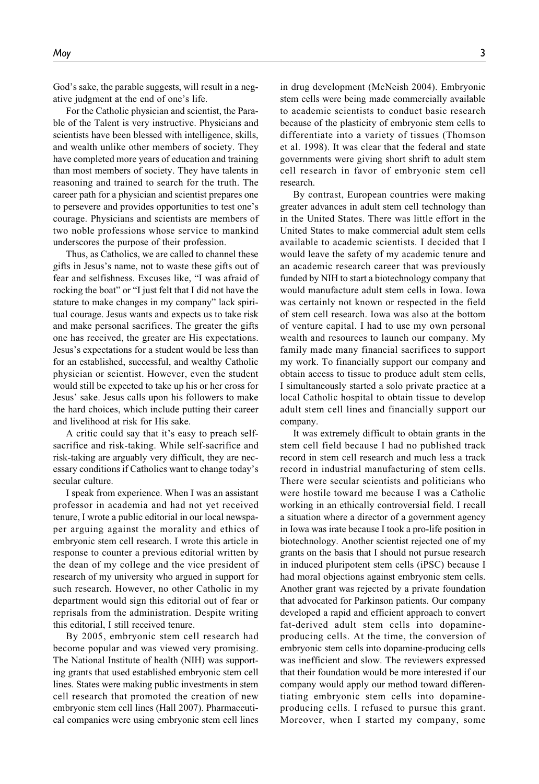God's sake, the parable suggests, will result in a negative judgment at the end of one's life.

For the Catholic physician and scientist, the Parable of the Talent is very instructive. Physicians and scientists have been blessed with intelligence, skills, and wealth unlike other members of society. They have completed more years of education and training than most members of society. They have talents in reasoning and trained to search for the truth. The career path for a physician and scientist prepares one to persevere and provides opportunities to test one's courage. Physicians and scientists are members of two noble professions whose service to mankind underscores the purpose of their profession.

Thus, as Catholics, we are called to channel these gifts in Jesus's name, not to waste these gifts out of fear and selfishness. Excuses like, "I was afraid of rocking the boat" or "I just felt that I did not have the stature to make changes in my company" lack spiritual courage. Jesus wants and expects us to take risk and make personal sacrifices. The greater the gifts one has received, the greater are His expectations. Jesus's expectations for a student would be less than for an established, successful, and wealthy Catholic physician or scientist. However, even the student would still be expected to take up his or her cross for Jesus' sake. Jesus calls upon his followers to make the hard choices, which include putting their career and livelihood at risk for His sake.

A critic could say that it's easy to preach selfsacrifice and risk-taking. While self-sacrifice and risk-taking are arguably very difficult, they are necessary conditions if Catholics want to change today's secular culture.

I speak from experience. When I was an assistant professor in academia and had not yet received tenure, I wrote a public editorial in our local newspaper arguing against the morality and ethics of embryonic stem cell research. I wrote this article in response to counter a previous editorial written by the dean of my college and the vice president of research of my university who argued in support for such research. However, no other Catholic in my department would sign this editorial out of fear or reprisals from the administration. Despite writing this editorial, I still received tenure.

By 2005, embryonic stem cell research had become popular and was viewed very promising. The National Institute of health (NIH) was supporting grants that used established embryonic stem cell lines. States were making public investments in stem cell research that promoted the creation of new embryonic stem cell lines (Hall 2007). Pharmaceutical companies were using embryonic stem cell lines

in drug development (McNeish 2004). Embryonic stem cells were being made commercially available to academic scientists to conduct basic research because of the plasticity of embryonic stem cells to differentiate into a variety of tissues (Thomson et al. 1998). It was clear that the federal and state governments were giving short shrift to adult stem cell research in favor of embryonic stem cell research.

By contrast, European countries were making greater advances in adult stem cell technology than in the United States. There was little effort in the United States to make commercial adult stem cells available to academic scientists. I decided that I would leave the safety of my academic tenure and an academic research career that was previously funded by NIH to start a biotechnology company that would manufacture adult stem cells in Iowa. Iowa was certainly not known or respected in the field of stem cell research. Iowa was also at the bottom of venture capital. I had to use my own personal wealth and resources to launch our company. My family made many financial sacrifices to support my work. To financially support our company and obtain access to tissue to produce adult stem cells, I simultaneously started a solo private practice at a local Catholic hospital to obtain tissue to develop adult stem cell lines and financially support our company.

It was extremely difficult to obtain grants in the stem cell field because I had no published track record in stem cell research and much less a track record in industrial manufacturing of stem cells. There were secular scientists and politicians who were hostile toward me because I was a Catholic working in an ethically controversial field. I recall a situation where a director of a government agency in Iowa was irate because I took a pro-life position in biotechnology. Another scientist rejected one of my grants on the basis that I should not pursue research in induced pluripotent stem cells (iPSC) because I had moral objections against embryonic stem cells. Another grant was rejected by a private foundation that advocated for Parkinson patients. Our company developed a rapid and efficient approach to convert fat-derived adult stem cells into dopamineproducing cells. At the time, the conversion of embryonic stem cells into dopamine-producing cells was inefficient and slow. The reviewers expressed that their foundation would be more interested if our company would apply our method toward differentiating embryonic stem cells into dopamineproducing cells. I refused to pursue this grant. Moreover, when I started my company, some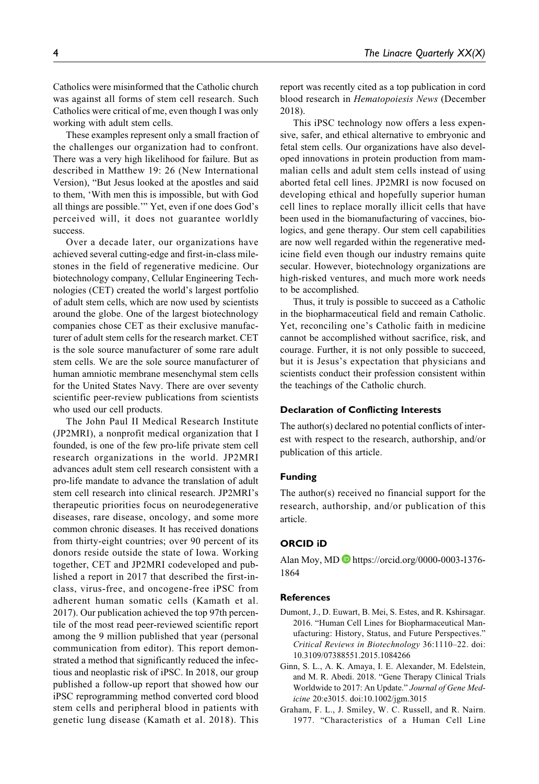Catholics were misinformed that the Catholic church was against all forms of stem cell research. Such Catholics were critical of me, even though I was only working with adult stem cells.

These examples represent only a small fraction of the challenges our organization had to confront. There was a very high likelihood for failure. But as described in Matthew 19: 26 (New International Version), "But Jesus looked at the apostles and said to them, 'With men this is impossible, but with God all things are possible.'" Yet, even if one does God's perceived will, it does not guarantee worldly success.

Over a decade later, our organizations have achieved several cutting-edge and first-in-class milestones in the field of regenerative medicine. Our biotechnology company, Cellular Engineering Technologies (CET) created the world's largest portfolio of adult stem cells, which are now used by scientists around the globe. One of the largest biotechnology companies chose CET as their exclusive manufacturer of adult stem cells for the research market. CET is the sole source manufacturer of some rare adult stem cells. We are the sole source manufacturer of human amniotic membrane mesenchymal stem cells for the United States Navy. There are over seventy scientific peer-review publications from scientists who used our cell products.

The John Paul II Medical Research Institute (JP2MRI), a nonprofit medical organization that I founded, is one of the few pro-life private stem cell research organizations in the world. JP2MRI advances adult stem cell research consistent with a pro-life mandate to advance the translation of adult stem cell research into clinical research. JP2MRI's therapeutic priorities focus on neurodegenerative diseases, rare disease, oncology, and some more common chronic diseases. It has received donations from thirty-eight countries; over 90 percent of its donors reside outside the state of Iowa. Working together, CET and JP2MRI codeveloped and published a report in 2017 that described the first-inclass, virus-free, and oncogene-free iPSC from adherent human somatic cells (Kamath et al. 2017). Our publication achieved the top 97th percentile of the most read peer-reviewed scientific report among the 9 million published that year (personal communication from editor). This report demonstrated a method that significantly reduced the infectious and neoplastic risk of iPSC. In 2018, our group published a follow-up report that showed how our iPSC reprogramming method converted cord blood stem cells and peripheral blood in patients with genetic lung disease (Kamath et al. 2018). This report was recently cited as a top publication in cord blood research in Hematopoiesis News (December 2018).

This iPSC technology now offers a less expensive, safer, and ethical alternative to embryonic and fetal stem cells. Our organizations have also developed innovations in protein production from mammalian cells and adult stem cells instead of using aborted fetal cell lines. JP2MRI is now focused on developing ethical and hopefully superior human cell lines to replace morally illicit cells that have been used in the biomanufacturing of vaccines, biologics, and gene therapy. Our stem cell capabilities are now well regarded within the regenerative medicine field even though our industry remains quite secular. However, biotechnology organizations are high-risked ventures, and much more work needs to be accomplished.

Thus, it truly is possible to succeed as a Catholic in the biopharmaceutical field and remain Catholic. Yet, reconciling one's Catholic faith in medicine cannot be accomplished without sacrifice, risk, and courage. Further, it is not only possible to succeed, but it is Jesus's expectation that physicians and scientists conduct their profession consistent within the teachings of the Catholic church.

#### Declaration of Conflicting Interests

The author(s) declared no potential conflicts of interest with respect to the research, authorship, and/or publication of this article.

#### Funding

The author(s) received no financial support for the research, authorship, and/or publication of this article.

### ORCID iD

Alan Moy, MD **b** [https://orcid.org/0000-0003-1376-](https://orcid.org/0000-0003-1376-1864) [1864](https://orcid.org/0000-0003-1376-1864)

#### References

- Dumont, J., D. Euwart, B. Mei, S. Estes, and R. Kshirsagar. 2016. "Human Cell Lines for Biopharmaceutical Manufacturing: History, Status, and Future Perspectives." Critical Reviews in Biotechnology 36:1110–22. doi: 10.3109/07388551.2015.1084266
- Ginn, S. L., A. K. Amaya, I. E. Alexander, M. Edelstein, and M. R. Abedi. 2018. "Gene Therapy Clinical Trials Worldwide to 2017: An Update." Journal of Gene Medicine 20:e3015. doi:10.1002/jgm.3015
- Graham, F. L., J. Smiley, W. C. Russell, and R. Nairn. 1977. "Characteristics of a Human Cell Line